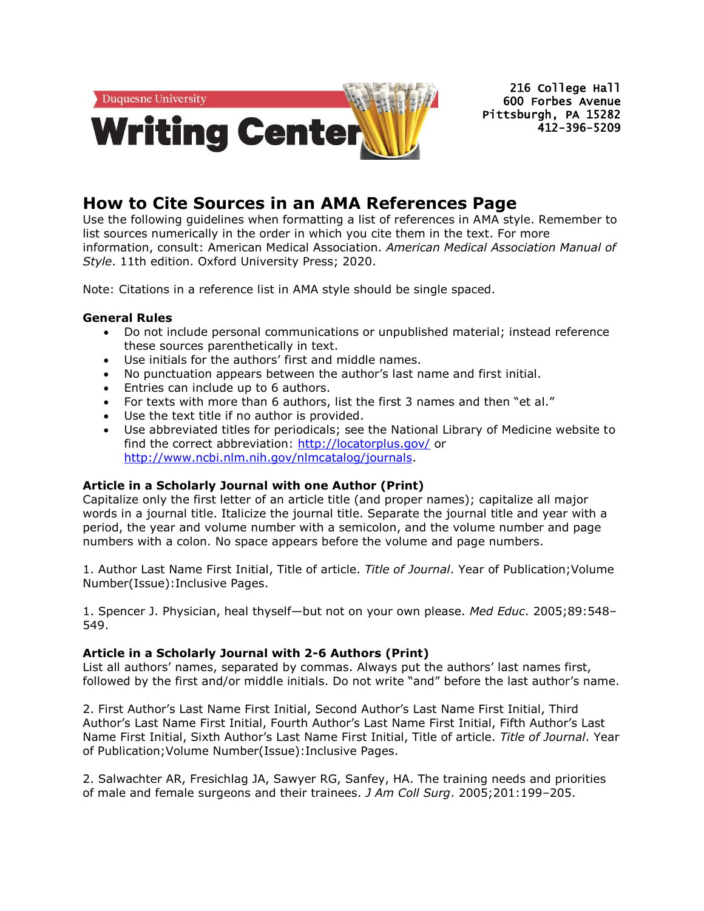

216 College Hall 600 Forbes Avenue Pittsburgh, PA 15282 412-396-5209

# **How to Cite Sources in an AMA References Page**

Use the following guidelines when formatting a list of references in AMA style. Remember to list sources numerically in the order in which you cite them in the text. For more information, consult: American Medical Association. *American Medical Association Manual of Style*. 11th edition. Oxford University Press; 2020.

Note: Citations in a reference list in AMA style should be single spaced.

# **General Rules**

- Do not include personal communications or unpublished material; instead reference these sources parenthetically in text.
- Use initials for the authors' first and middle names.
- No punctuation appears between the author's last name and first initial.
- Entries can include up to 6 authors.
- For texts with more than 6 authors, list the first 3 names and then "et al."
- Use the text title if no author is provided.
- Use abbreviated titles for periodicals; see the National Library of Medicine website to find the correct abbreviation:<http://locatorplus.gov/> or [http://www.ncbi.nlm.nih.gov/nlmcatalog/journals.](http://www.ncbi.nlm.nih.gov/nlmcatalog/journals)

# **Article in a Scholarly Journal with one Author (Print)**

Capitalize only the first letter of an article title (and proper names); capitalize all major words in a journal title. Italicize the journal title. Separate the journal title and year with a period, the year and volume number with a semicolon, and the volume number and page numbers with a colon. No space appears before the volume and page numbers.

1. Author Last Name First Initial, Title of article. *Title of Journal*. Year of Publication;Volume Number(Issue):Inclusive Pages.

1. Spencer J. Physician, heal thyself—but not on your own please. *Med Educ*. 2005;89:548– 549.

# **Article in a Scholarly Journal with 2-6 Authors (Print)**

List all authors' names, separated by commas. Always put the authors' last names first, followed by the first and/or middle initials. Do not write "and" before the last author's name.

2. First Author's Last Name First Initial, Second Author's Last Name First Initial, Third Author's Last Name First Initial, Fourth Author's Last Name First Initial, Fifth Author's Last Name First Initial, Sixth Author's Last Name First Initial, Title of article. *Title of Journal*. Year of Publication;Volume Number(Issue):Inclusive Pages.

2. Salwachter AR, Fresichlag JA, Sawyer RG, Sanfey, HA. The training needs and priorities of male and female surgeons and their trainees. *J Am Coll Surg*. 2005;201:199–205.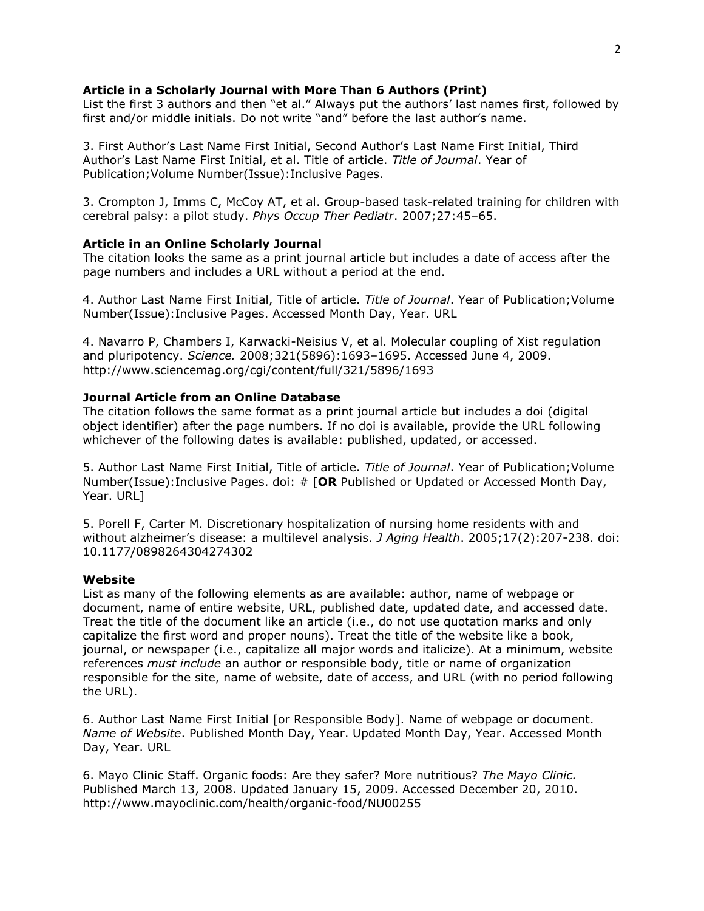## **Article in a Scholarly Journal with More Than 6 Authors (Print)**

List the first 3 authors and then "et al." Always put the authors' last names first, followed by first and/or middle initials. Do not write "and" before the last author's name.

3. First Author's Last Name First Initial, Second Author's Last Name First Initial, Third Author's Last Name First Initial, et al. Title of article. *Title of Journal*. Year of Publication;Volume Number(Issue):Inclusive Pages.

3. Crompton J, Imms C, McCoy AT, et al. Group-based task-related training for children with cerebral palsy: a pilot study. *Phys Occup Ther Pediatr*. 2007;27:45–65.

### **Article in an Online Scholarly Journal**

The citation looks the same as a print journal article but includes a date of access after the page numbers and includes a URL without a period at the end.

4. Author Last Name First Initial, Title of article. *Title of Journal*. Year of Publication;Volume Number(Issue):Inclusive Pages. Accessed Month Day, Year. URL

4. Navarro P, Chambers I, Karwacki-Neisius V, et al. Molecular coupling of Xist regulation and pluripotency. *Science.* 2008;321(5896):1693–1695. Accessed June 4, 2009. http://www.sciencemag.org/cgi/content/full/321/5896/1693

## **Journal Article from an Online Database**

The citation follows the same format as a print journal article but includes a doi (digital object identifier) after the page numbers. If no doi is available, provide the URL following whichever of the following dates is available: published, updated, or accessed.

5. Author Last Name First Initial, Title of article. *Title of Journal*. Year of Publication;Volume Number(Issue):Inclusive Pages. doi: # [**OR** Published or Updated or Accessed Month Day, Year. URL]

5. Porell F, Carter M. Discretionary hospitalization of nursing home residents with and without alzheimer's disease: a multilevel analysis. *J Aging Health*. 2005;17(2):207-238. doi: 10.1177/0898264304274302

### **Website**

List as many of the following elements as are available: author, name of webpage or document, name of entire website, URL, published date, updated date, and accessed date. Treat the title of the document like an article (i.e., do not use quotation marks and only capitalize the first word and proper nouns). Treat the title of the website like a book, journal, or newspaper (i.e., capitalize all major words and italicize). At a minimum, website references *must include* an author or responsible body, title or name of organization responsible for the site, name of website, date of access, and URL (with no period following the URL).

6. Author Last Name First Initial [or Responsible Body]. Name of webpage or document. *Name of Website*. Published Month Day, Year. Updated Month Day, Year. Accessed Month Day, Year. URL

6. Mayo Clinic Staff. Organic foods: Are they safer? More nutritious? *The Mayo Clinic.*  Published March 13, 2008. Updated January 15, 2009. Accessed December 20, 2010. http://www.mayoclinic.com/health/organic-food/NU00255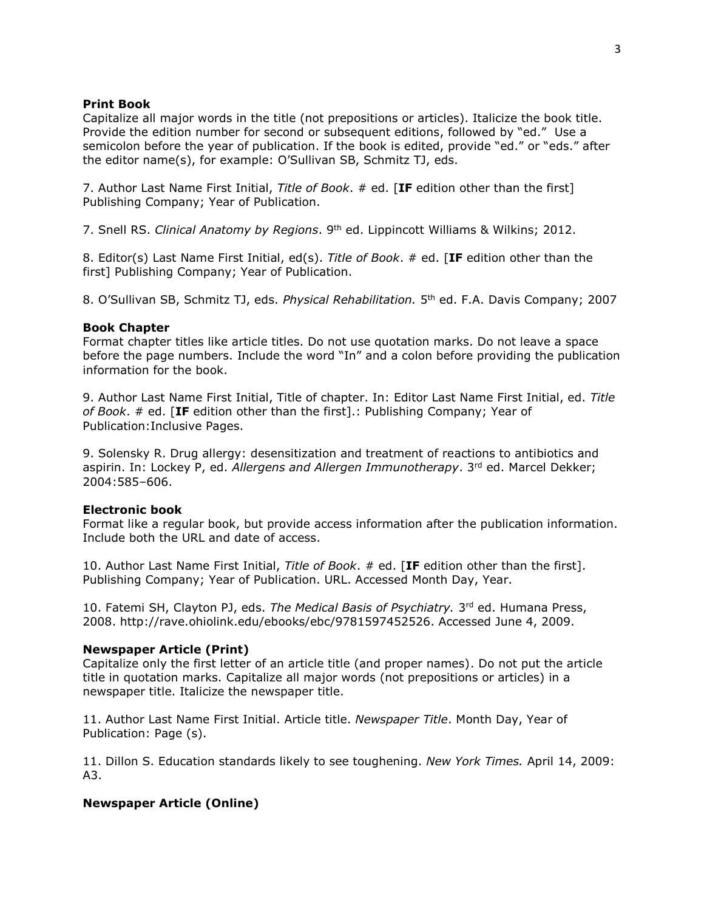#### **Print Book**

Capitalize all major words in the title (not prepositions or articles). Italicize the book title. Provide the edition number for second or subsequent editions, followed by "ed." Use a semicolon before the year of publication. If the book is edited, provide "ed." or "eds." after the editor name(s), for example: O'Sullivan SB, Schmitz TJ, eds.

7. Author Last Name First Initial, *Title of Book*. # ed. [**IF** edition other than the first] Publishing Company; Year of Publication.

7. Snell RS. *Clinical Anatomy by Regions*. 9th ed. Lippincott Williams & Wilkins; 2012.

8. Editor(s) Last Name First Initial, ed(s). *Title of Book*. # ed. [**IF** edition other than the first] Publishing Company; Year of Publication.

8. O'Sullivan SB, Schmitz TJ, eds. *Physical Rehabilitation.* 5<sup>th</sup> ed. F.A. Davis Company; 2007

#### **Book Chapter**

Format chapter titles like article titles. Do not use quotation marks. Do not leave a space before the page numbers. Include the word "In" and a colon before providing the publication information for the book.

9. Author Last Name First Initial, Title of chapter. In: Editor Last Name First Initial, ed. *Title of Book*. # ed. [**IF** edition other than the first].: Publishing Company; Year of Publication:Inclusive Pages.

9. Solensky R. Drug allergy: desensitization and treatment of reactions to antibiotics and aspirin. In: Lockey P, ed. *Allergens and Allergen Immunotherapy*. 3<sup>rd</sup> ed. Marcel Dekker; 2004:585–606.

#### **Electronic book**

Format like a regular book, but provide access information after the publication information. Include both the URL and date of access.

10. Author Last Name First Initial, *Title of Book*. # ed. [**IF** edition other than the first]. Publishing Company; Year of Publication. URL. Accessed Month Day, Year.

10. Fatemi SH, Clayton PJ, eds. The Medical Basis of Psychiatry. 3<sup>rd</sup> ed. Humana Press, 2008. http://rave.ohiolink.edu/ebooks/ebc/9781597452526. Accessed June 4, 2009.

#### **Newspaper Article (Print)**

Capitalize only the first letter of an article title (and proper names). Do not put the article title in quotation marks. Capitalize all major words (not prepositions or articles) in a newspaper title. Italicize the newspaper title.

11. Author Last Name First Initial. Article title. *Newspaper Title*. Month Day, Year of Publication: Page (s).

11. Dillon S. Education standards likely to see toughening. *New York Times.* April 14, 2009: A3.

# **Newspaper Article (Online)**